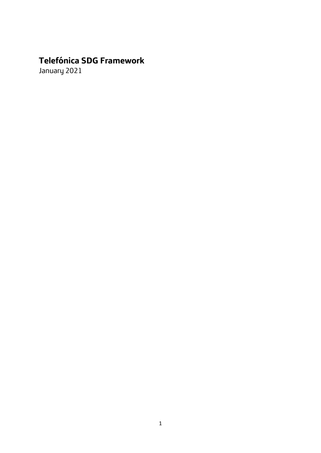# **Telefónica SDG Framework**

January 2021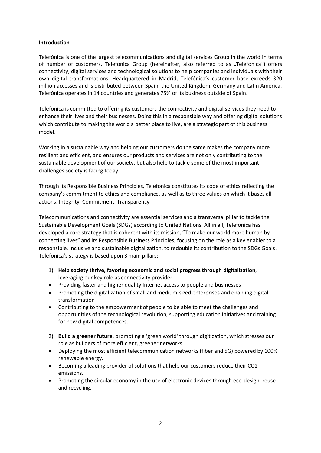#### **Introduction**

Telefónica is one of the largest telecommunications and digital services Group in the world in terms of number of customers. Telefonica Group (hereinafter, also referred to as "Telefónica") offers connectivity, digital services and technological solutions to help companies and individuals with their own digital transformations. Headquartered in Madrid, Telefónica's customer base exceeds 320 million accesses and is distributed between Spain, the United Kingdom, Germany and Latin America. Telefónica operates in 14 countries and generates 75% of its business outside of Spain.

Telefonica is committed to offering its customers the connectivity and digital services they need to enhance their lives and their businesses. Doing this in a responsible way and offering digital solutions which contribute to making the world a better place to live, are a strategic part of this business model.

Working in a sustainable way and helping our customers do the same makes the company more resilient and efficient, and ensures our products and services are not only contributing to the sustainable development of our society, but also help to tackle some of the most important challenges society is facing today.

Through its Responsible Business Principles, Telefonica constitutes its code of ethics reflecting the company's commitment to ethics and compliance, as well as to three values on which it bases all actions: Integrity, Commitment, Transparency

Telecommunications and connectivity are essential services and a transversal pillar to tackle the Sustainable Development Goals (SDGs) according to United Nations. All in all, Telefonica has developed a core strategy that is coherent with its mission, "To make our world more human by connecting lives" and its Responsible Business Principles, focusing on the role as a key enabler to a responsible, inclusive and sustainable digitalization, to redouble its contribution to the SDGs Goals. Telefonica's strategy is based upon 3 main pillars:

- 1) **Help society thrive, favoring economic and social progress through digitalization**, leveraging our key role as connectivity provider:
- Providing faster and higher quality Internet access to people and businesses
- Promoting the digitalization of small and medium-sized enterprises and enabling digital transformation
- Contributing to the empowerment of people to be able to meet the challenges and opportunities of the technological revolution, supporting education initiatives and training for new digital competences.
- 2) **Build a greener future**, promoting a 'green world' through digitization, which stresses our role as builders of more efficient, greener networks:
- Deploying the most efficient telecommunication networks (fiber and 5G) powered by 100% renewable energy.
- Becoming a leading provider of solutions that help our customers reduce their CO2 emissions.
- Promoting the circular economy in the use of electronic devices through eco-design, reuse and recycling.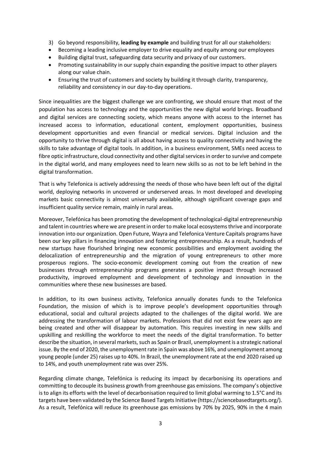- 3) Go beyond responsibility, **leading by example** and building trust for all our stakeholders:
- Becoming a leading inclusive employer to drive equality and equity among our employees
- Building digital trust, safeguarding data security and privacy of our customers.
- Promoting sustainability in our supply chain expanding the positive impact to other players along our value chain.
- Ensuring the trust of customers and society by building it through clarity, transparency, reliability and consistency in our day-to-day operations.

Since inequalities are the biggest challenge we are confronting, we should ensure that most of the population has access to technology and the opportunities the new digital world brings. Broadband and digital services are connecting society, which means anyone with access to the internet has increased access to information, educational content, employment opportunities, business development opportunities and even financial or medical services. Digital inclusion and the opportunity to thrive through digital is all about having access to quality connectivity and having the skills to take advantage of digital tools. In addition, in a business environment, SMEs need access to fibre optic infrastructure, cloud connectivity and other digital services in order to survive and compete in the digital world, and many employees need to learn new skills so as not to be left behind in the digital transformation.

That is why Telefonica is actively addressing the needs of those who have been left out of the digital world, deploying networks in uncovered or underserved areas. In most developed and developing markets basic connectivity is almost universally available, although significant coverage gaps and insufficient quality service remain, mainly in rural areas.

Moreover, Telefónica has been promoting the development of technological-digital entrepreneurship and talent in countries where we are present in order to make local ecosystems thrive and incorporate innovation into our organization. Open Future, Wayra and Telefonica Venture Capitals programs have been our key pillars in financing innovation and fostering entrepreneurship. As a result, hundreds of new startups have flourished bringing new economic possibilities and employment avoiding the delocalization of entrepreneurship and the migration of young entrepreneurs to other more prosperous regions. The socio-economic development coming out from the creation of new businesses through entrepreneurship programs generates a positive impact through increased productivity, improved employment and development of technology and innovation in the communities where these new businesses are based.

In addition, to its own business activity, Telefonica annually donates funds to the Telefonica Foundation, the mission of which is to improve people's development opportunities through educational, social and cultural projects adapted to the challenges of the digital world. We are addressing the transformation of labour markets. Professions that did not exist few years ago are being created and other will disappear by automation. This requires investing in new skills and upskilling and reskilling the workforce to meet the needs of the digital transformation. To better describe the situation, in several markets, such as Spain or Brazil, unemployment is a strategic national issue. By the end of 2020, the unemployment rate in Spain was above 16%, and unemployment among young people (under 25) raises up to 40%. In Brazil, the unemployment rate at the end 2020 raised up to 14%, and youth unemployment rate was over 25%.

Regarding climate change, Telefónica is reducing its impact by decarbonising its operations and committing to decouple its business growth from greenhouse gas emissions. The company's objective is to align its efforts with the level of decarbonisation required to limit global warming to 1.5°C and its targets have been validated by the Science Based Targets Initiative (https://sciencebasedtargets.org/). As a result, Telefónica will reduce its greenhouse gas emissions by 70% by 2025, 90% in the 4 main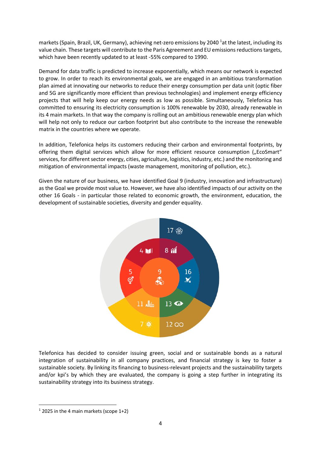markets (Spain, Brazil, UK, Germany), achieving net-zero emissions by 2040<sup>1</sup>at the latest, including its value chain. These targets will contribute to the Paris Agreement and EU emissions reductions targets, which have been recently updated to at least -55% compared to 1990.

Demand for data traffic is predicted to increase exponentially, which means our network is expected to grow. In order to reach its environmental goals, we are engaged in an ambitious transformation plan aimed at innovating our networks to reduce their energy consumption per data unit (optic fiber and 5G are significantly more efficient than previous technologies) and implement energy efficiency projects that will help keep our energy needs as low as possible. Simultaneously, Telefonica has committed to ensuring its electricity consumption is 100% renewable by 2030, already renewable in its 4 main markets. In that way the company is rolling out an ambitious renewable energy plan which will help not only to reduce our carbon footprint but also contribute to the increase the renewable matrix in the countries where we operate.

In addition, Telefonica helps its customers reducing their carbon and environmental footprints, by offering them digital services which allow for more efficient resource consumption ("EcoSmart" services, for different sector energy, cities, agriculture, logistics, industry, etc.) and the monitoring and mitigation of environmental impacts (waste management, monitoring of pollution, etc.).

Given the nature of our business, we have identified Goal 9 (industry, innovation and infrastructure) as the Goal we provide most value to. However, we have also identified impacts of our activity on the other 16 Goals - in particular those related to economic growth, the environment, education, the development of sustainable societies, diversity and gender equality.



Telefonica has decided to consider issuing green, social and or sustainable bonds as a natural integration of sustainability in all company practices, and financial strategy is key to foster a sustainable society. By linking its financing to business-relevant projects and the sustainability targets and/or kpi's by which they are evaluated, the company is going a step further in integrating its sustainability strategy into its business strategy.

 $1$  2025 in the 4 main markets (scope 1+2)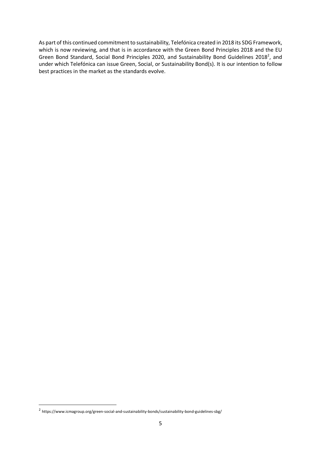As part of this continued commitment to sustainability, Telefónica created in 2018 its SDG Framework, which is now reviewing, and that is in accordance with the Green Bond Principles 2018 and the EU Green Bond Standard, Social Bond Principles 2020, and Sustainability Bond Guidelines 2018<sup>2</sup>, and under which Telefónica can issue Green, Social, or Sustainability Bond(s). It is our intention to follow best practices in the market as the standards evolve.

<sup>&</sup>lt;sup>2</sup> https://www.icmagroup.org/green-social-and-sustainability-bonds/sustainability-bond-guidelines-sbg/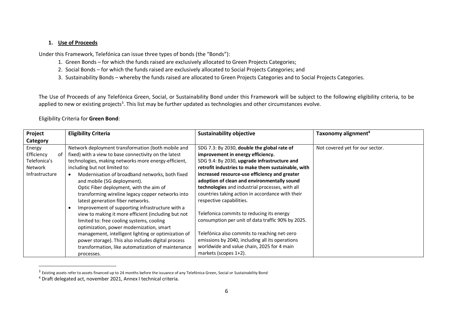#### **1. Use of Proceeds**

Under this Framework, Telefónica can issue three types of bonds (the "Bonds"):

- 1. Green Bonds for which the funds raised are exclusively allocated to Green Projects Categories;
- 2. Social Bonds for which the funds raised are exclusively allocated to Social Projects Categories; and
- 3. Sustainability Bonds whereby the funds raised are allocated to Green Projects Categories and to Social Projects Categories.

The Use of Proceeds of any Telefónica Green, Social, or Sustainability Bond under this Framework will be subject to the following eligibility criteria, to be applied to new or existing projects<sup>3</sup>. This list may be further updated as technologies and other circumstances evolve.

#### Eligibility Criteria for **Green Bond**:

| Project                                                                 | <b>Eligibility Criteria</b>                                                                                                                                                                                                                                                                                                                                                                                                                                                              | <b>Sustainability objective</b>                                                                                                                                                                                                                                                                                                                          | Taxonomy alignment <sup>4</sup> |
|-------------------------------------------------------------------------|------------------------------------------------------------------------------------------------------------------------------------------------------------------------------------------------------------------------------------------------------------------------------------------------------------------------------------------------------------------------------------------------------------------------------------------------------------------------------------------|----------------------------------------------------------------------------------------------------------------------------------------------------------------------------------------------------------------------------------------------------------------------------------------------------------------------------------------------------------|---------------------------------|
| Category                                                                |                                                                                                                                                                                                                                                                                                                                                                                                                                                                                          |                                                                                                                                                                                                                                                                                                                                                          |                                 |
| Energy<br>Efficiency<br>of<br>Telefonica's<br>Network<br>Infrastructure | Network deployment transformation (both mobile and<br>fixed) with a view to base connectivity on the latest<br>technologies, making networks more energy-efficient,<br>including but not limited to:<br>Modernisation of broadband networks, both fixed<br>and mobile (5G deployment).<br>Optic Fiber deployment, with the aim of                                                                                                                                                        | SDG 7.3: By 2030, double the global rate of<br>improvement in energy efficiency.<br>SDG 9.4: By 2030, upgrade infrastructure and<br>retrofit industries to make them sustainable, with<br>increased resource-use efficiency and greater<br>adoption of clean and environmentally sound<br>technologies and industrial processes, with all                | Not covered yet for our sector. |
|                                                                         | transforming wireline legacy copper networks into<br>latest generation fiber networks.<br>Improvement of supporting infrastructure with a<br>$\epsilon$<br>view to making it more efficient (including but not<br>limited to: free cooling systems, cooling<br>optimization, power modernization, smart<br>management, intelligent lighting or optimization of<br>power storage). This also includes digital process<br>transformation, like automatization of maintenance<br>processes. | countries taking action in accordance with their<br>respective capabilities.<br>Telefonica commits to reducing its energy<br>consumption per unit of data traffic 90% by 2025.<br>Telefónica also commits to reaching net-zero<br>emissions by 2040, including all its operations<br>worldwide and value chain, 2025 for 4 main<br>markets (scopes 1+2). |                                 |

 $^3$  Existing assets refer to assets financed up to 24 months before the issuance of any Telefónica Green, Social or Sustainability Bond

<sup>4</sup> Draft delegated act, november 2021, Annex I technical criteria.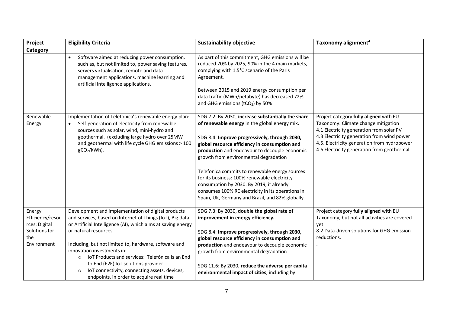| Project                                                                            | <b>Eligibility Criteria</b>                                                                                                                                                                                                                                                                                                                                                                                                                                                                                   | <b>Sustainability objective</b>                                                                                                                                                                                                                                                                                                                                                                                                                                                                                                                        | Taxonomy alignment <sup>4</sup>                                                                                                                                                                                                                                      |
|------------------------------------------------------------------------------------|---------------------------------------------------------------------------------------------------------------------------------------------------------------------------------------------------------------------------------------------------------------------------------------------------------------------------------------------------------------------------------------------------------------------------------------------------------------------------------------------------------------|--------------------------------------------------------------------------------------------------------------------------------------------------------------------------------------------------------------------------------------------------------------------------------------------------------------------------------------------------------------------------------------------------------------------------------------------------------------------------------------------------------------------------------------------------------|----------------------------------------------------------------------------------------------------------------------------------------------------------------------------------------------------------------------------------------------------------------------|
| Category                                                                           |                                                                                                                                                                                                                                                                                                                                                                                                                                                                                                               |                                                                                                                                                                                                                                                                                                                                                                                                                                                                                                                                                        |                                                                                                                                                                                                                                                                      |
|                                                                                    | Software aimed at reducing power consumption,<br>such as, but not limited to, power saving features,<br>servers virtualisation, remote and data<br>management applications, machine learning and<br>artificial intelligence applications.                                                                                                                                                                                                                                                                     | As part of this commitment, GHG emissions will be<br>reduced 70% by 2025, 90% in the 4 main markets,<br>complying with 1.5°C scenario of the Paris<br>Agreement.<br>Between 2015 and 2019 energy consumption per<br>data traffic (MWh/petabyte) has decreased 72%<br>and GHG emissions (tCO <sub>2</sub> ) by 50%                                                                                                                                                                                                                                      |                                                                                                                                                                                                                                                                      |
| Renewable<br>Energy                                                                | Implementation of Telefonica's renewable energy plan:<br>Self-generation of electricity from renewable<br>$\bullet$<br>sources such as solar, wind, mini-hydro and<br>geothermal. (excluding large hydro over 25MW<br>and geothermal with life cycle GHG emissions > 100<br>gCO2/kWh).                                                                                                                                                                                                                        | SDG 7.2: By 2030, increase substantially the share<br>of renewable energy in the global energy mix.<br>SDG 8.4: Improve progressively, through 2030,<br>global resource efficiency in consumption and<br>production and endeavour to decouple economic<br>growth from environmental degradation<br>Telefonica commits to renewable energy sources<br>for its business: 100% renewable electricity<br>consumption by 2030. By 2019, it already<br>consumes 100% RE electricity in its operations in<br>Spain, UK, Germany and Brazil, and 82% globally. | Project category fully aligned with EU<br>Taxonomy: Climate change mitigation<br>4.1 Electricity generation from solar PV<br>4.3 Electricity generation from wind power<br>4.5. Electricity generation from hydropower<br>4.6 Electricity generation from geothermal |
| Energy<br>Efficiency/resou<br>rces: Digital<br>Solutions for<br>the<br>Environment | Development and implementation of digital products<br>and services, based on Internet of Things (IoT), Big data<br>or Artificial Intelligence (AI), which aims at saving energy<br>or natural resources.<br>Including, but not limited to, hardware, software and<br>innovation investments in:<br>IoT Products and services: Telefónica is an End<br>$\circ$<br>to End (E2E) IoT solutions provider.<br>IoT connectivity, connecting assets, devices,<br>$\circ$<br>endpoints, in order to acquire real time | SDG 7.3: By 2030, double the global rate of<br>improvement in energy efficiency.<br>SDG 8.4: Improve progressively, through 2030,<br>global resource efficiency in consumption and<br>production and endeavour to decouple economic<br>growth from environmental degradation<br>SDG 11.6: By 2030, reduce the adverse per capita<br>environmental impact of cities, including by                                                                                                                                                                       | Project category fully aligned with EU<br>Taxonomy, but not all activities are covered<br>yet.<br>8.2 Data-driven solutions for GHG emission<br>reductions.                                                                                                          |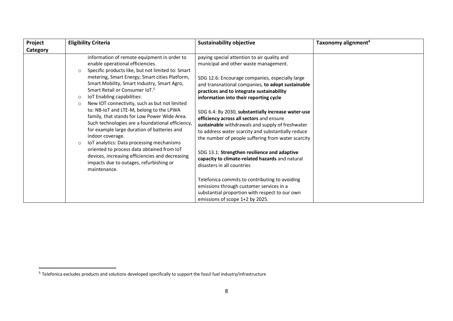| Project  | <b>Eligibility Criteria</b>                                                                                                                                                                                                                                                                                                                                                                                                                                                                                                                                                                                                                                                                                                                                                                                                                | <b>Sustainability objective</b>                                                                                                                                                                                                                                                                                                                                                                                                                                                                                                                                                                                                                                                                                                                                                                                                                                           | Taxonomy alignment <sup>4</sup> |
|----------|--------------------------------------------------------------------------------------------------------------------------------------------------------------------------------------------------------------------------------------------------------------------------------------------------------------------------------------------------------------------------------------------------------------------------------------------------------------------------------------------------------------------------------------------------------------------------------------------------------------------------------------------------------------------------------------------------------------------------------------------------------------------------------------------------------------------------------------------|---------------------------------------------------------------------------------------------------------------------------------------------------------------------------------------------------------------------------------------------------------------------------------------------------------------------------------------------------------------------------------------------------------------------------------------------------------------------------------------------------------------------------------------------------------------------------------------------------------------------------------------------------------------------------------------------------------------------------------------------------------------------------------------------------------------------------------------------------------------------------|---------------------------------|
| Category |                                                                                                                                                                                                                                                                                                                                                                                                                                                                                                                                                                                                                                                                                                                                                                                                                                            |                                                                                                                                                                                                                                                                                                                                                                                                                                                                                                                                                                                                                                                                                                                                                                                                                                                                           |                                 |
|          | information of remote equipment in order to<br>enable operational efficiencies.<br>Specific products like, but not limited to: Smart<br>$\circ$<br>metering, Smart Energy; Smart cities Platform,<br>Smart Mobility, Smart Industry, Smart Agro,<br>Smart Retail or Consumer IoT. <sup>5</sup><br>IoT Enabling capabilities:<br>$\circ$<br>New IOT connectivity, such as but not limited<br>$\circ$<br>to: NB-IoT and LTE-M, belong to the LPWA<br>family, that stands for Low Power Wide Area.<br>Such technologies are a foundational efficiency,<br>for example large duration of batteries and<br>indoor coverage.<br>IoT analytics: Data processing mechanisms<br>$\circ$<br>oriented to process data obtained from IoT<br>devices, increasing efficiencies and decreasing<br>impacts due to outages, refurbishing or<br>maintenance. | paying special attention to air quality and<br>municipal and other waste management.<br>SDG 12.6: Encourage companies, especially large<br>and transnational companies, to adopt sustainable<br>practices and to integrate sustainability<br>information into their reporting cycle<br>SDG 6.4: By 2030, substantially increase water-use<br>efficiency across all sectors and ensure<br>sustainable withdrawals and supply of freshwater<br>to address water scarcity and substantially reduce<br>the number of people suffering from water scarcity<br>SDG 13.1: Strengthen resilience and adaptive<br>capacity to climate-related hazards and natural<br>disasters in all countries<br>Telefonica commits to contributing to avoiding<br>emissions through customer services in a<br>substantial proportion with respect to our own<br>emissions of scope 1+2 by 2025. |                                 |

 $5$  Telefonica excludes products and solutions developed specifically to support the fossil fuel industry/infrastructure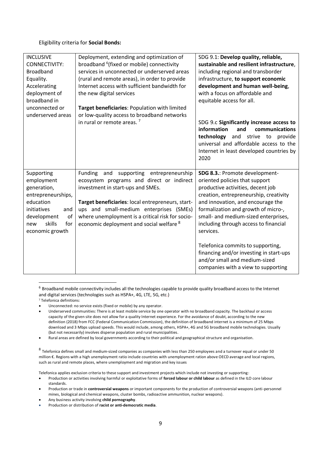Eligibility criteria for **Social Bonds:**

| <b>INCLUSIVE</b><br>CONNECTIVITY:<br><b>Broadband</b><br>Equality.<br>Accelerating<br>deployment of<br>broadband in<br>unconnected or<br>underserved areas | Deployment, extending and optimization of<br>broadband <sup>6</sup> (fixed or mobile) connectivity<br>services in unconnected or underserved areas<br>(rural and remote areas), in order to provide<br>Internet access with sufficient bandwidth for<br>the new digital services<br>Target beneficiaries: Population with limited<br>or low-quality access to broadband networks | SDG 9.1: Develop quality, reliable,<br>sustainable and resilient infrastructure,<br>including regional and transborder<br>infrastructure, to support economic<br>development and human well-being,<br>with a focus on affordable and<br>equitable access for all. |
|------------------------------------------------------------------------------------------------------------------------------------------------------------|----------------------------------------------------------------------------------------------------------------------------------------------------------------------------------------------------------------------------------------------------------------------------------------------------------------------------------------------------------------------------------|-------------------------------------------------------------------------------------------------------------------------------------------------------------------------------------------------------------------------------------------------------------------|
|                                                                                                                                                            | in rural or remote areas. <sup>7</sup>                                                                                                                                                                                                                                                                                                                                           | SDG 9.c Significantly increase access to<br>information<br>and<br>communications<br>technology<br>and strive to<br>provide<br>universal and affordable access to the<br>Internet in least developed countries by<br>2020                                          |
| Supporting<br>employment                                                                                                                                   | Funding<br>and<br>supporting entrepreneurship<br>ecosystem programs and direct or indirect                                                                                                                                                                                                                                                                                       | SDG 8.3.: Promote development-<br>oriented policies that support                                                                                                                                                                                                  |
| generation,<br>entrepreneurships,                                                                                                                          | investment in start-ups and SMEs.                                                                                                                                                                                                                                                                                                                                                | productive activities, decent job<br>creation, entrepreneurship, creativity                                                                                                                                                                                       |
| education<br>initiatives<br>and<br>of<br>development<br>skills<br>for<br>new<br>economic growth                                                            | Target beneficiaries: local entrepreneurs, start-<br>ups and small-medium enterprises (SMEs)<br>where unemployment is a critical risk for socio-<br>economic deployment and social welfare <sup>8</sup>                                                                                                                                                                          | and innovation, and encourage the<br>formalization and growth of micro-,<br>small- and medium-sized enterprises,<br>including through access to financial<br>services.                                                                                            |
|                                                                                                                                                            |                                                                                                                                                                                                                                                                                                                                                                                  | Telefonica commits to supporting,<br>financing and/or investing in start-ups<br>and/or small and medium-sized<br>companies with a view to supporting                                                                                                              |

<sup>6</sup> Broadband mobile connectivity includes all the technologies capable to provide quality broadband access to the Internet and digital services (technologies such as HSPA+, 4G, LTE, 5G, etc.) <sup>7</sup> Telefonica definitions:

- Unconnected: no service exists (fixed or mobile) by any operator.
- Underserved communities: There is at least mobile service by one operator with no broadband capacity. The backhaul or access capacity of the given site does not allow for a quality Internet experience. For the avoidance of doubt, according to the new definition (2018) from FCC (Federal Communication Commission), the definition of broadband internet is a minimum of 25 Mbps download and 3 Mbps upload speeds. This would include, among others, HSPA+, 4G and 5G broadband mobile technologies. Usually (but not necessarily) involves disperse population and rural municipalities.
- Rural areas are defined by local governments according to their political and geographical structure and organisation.

<sup>8</sup> Telefonica defines small and medium-sized companies as companies with less than 250 employees and a turnover equal or under 50 million €. Regions with a high unemployment ratio include countries with unemployment ration above OECD average and local regions, such as rural and remote places, where unemployment and migration and key issues

Telefonica applies exclusion criteria to these support and investment projects which include not investing or supporting:

- Production or activities involving harmful or exploitative forms of **forced labour or child labour** as defined in the ILO core labour standards.
- Production or trade in **controversial weapons** or important components for the production of controversial weapons (anti-personnel mines, biological and chemical weapons, cluster bombs, radioactive ammunition, nuclear weapons).
- Any business activity involving **child pornography**.
- Production or distribution of **racist or anti-democratic media**.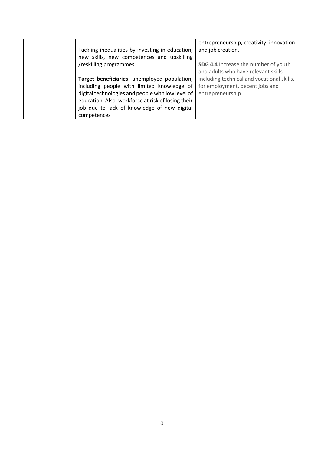| Tackling inequalities by investing in education,<br>new skills, new competences and upskilling<br>/reskilling programmes.                                                                                                                                           | entrepreneurship, creativity, innovation<br>and job creation.<br>SDG 4.4 Increase the number of youth                                    |
|---------------------------------------------------------------------------------------------------------------------------------------------------------------------------------------------------------------------------------------------------------------------|------------------------------------------------------------------------------------------------------------------------------------------|
| Target beneficiaries: unemployed population,<br>including people with limited knowledge of<br>digital technologies and people with low level of<br>education. Also, workforce at risk of losing their<br>job due to lack of knowledge of new digital<br>competences | and adults who have relevant skills<br>including technical and vocational skills,<br>for employment, decent jobs and<br>entrepreneurship |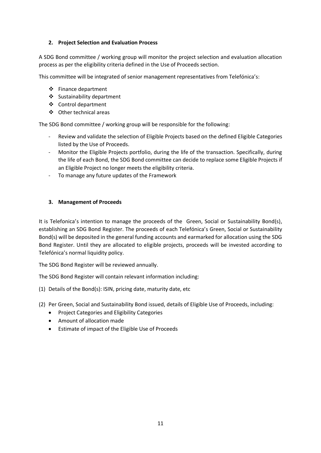## **2. Project Selection and Evaluation Process**

A SDG Bond committee / working group will monitor the project selection and evaluation allocation process as per the eligibility criteria defined in the Use of Proceeds section.

This committee will be integrated of senior management representatives from Telefónica's:

- ❖ Finance department
- ❖ Sustainability department
- ❖ Control department
- ❖ Other technical areas

The SDG Bond committee / working group will be responsible for the following:

- Review and validate the selection of Eligible Projects based on the defined Eligible Categories listed by the Use of Proceeds.
- Monitor the Eligible Projects portfolio, during the life of the transaction. Specifically, during the life of each Bond, the SDG Bond committee can decide to replace some Eligible Projects if an Eligible Project no longer meets the eligibility criteria.
- To manage any future updates of the Framework

## **3. Management of Proceeds**

It is Telefonica's intention to manage the proceeds of the Green, Social or Sustainability Bond(s), establishing an SDG Bond Register. The proceeds of each Telefónica's Green, Social or Sustainability Bond(s) will be deposited in the general funding accounts and earmarked for allocation using the SDG Bond Register. Until they are allocated to eligible projects, proceeds will be invested according to Telefónica's normal liquidity policy.

The SDG Bond Register will be reviewed annually.

The SDG Bond Register will contain relevant information including:

- (1) Details of the Bond(s): ISIN, pricing date, maturity date, etc
- (2) Per Green, Social and Sustainability Bond issued, details of Eligible Use of Proceeds, including:
	- Project Categories and Eligibility Categories
	- Amount of allocation made
	- Estimate of impact of the Eligible Use of Proceeds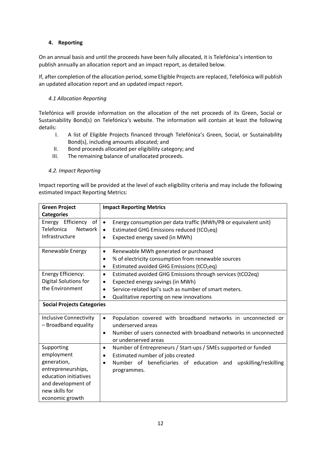## **4. Reporting**

On an annual basis and until the proceeds have been fully allocated, it is Telefónica's intention to publish annually an allocation report and an impact report, as detailed below.

If, after completion of the allocation period, some Eligible Projects are replaced, Telefónica will publish an updated allocation report and an updated impact report.

## *4.1 Allocation Reporting*

Telefónica will provide information on the allocation of the net proceeds of its Green, Social or Sustainability Bond(s) on Telefónica's website. The information will contain at least the following details:

- I. A list of Eligible Projects financed through Telefónica's Green, Social, or Sustainability Bond(s), including amounts allocated; and
- II. Bond proceeds allocated per eligibility category; and
- III. The remaining balance of unallocated proceeds.

## *4.2. Impact Reporting*

Impact reporting will be provided at the level of each eligibility criteria and may include the following estimated Impact Reporting Metrics:

| <b>Green Project</b>                | <b>Impact Reporting Metrics</b>                                                                       |
|-------------------------------------|-------------------------------------------------------------------------------------------------------|
| <b>Categories</b>                   |                                                                                                       |
| Energy Efficiency of                | Energy consumption per data traffic (MWh/PB or equivalent unit)<br>$\bullet$                          |
| <b>Telefonica</b><br><b>Network</b> | Estimated GHG Emissions reduced (tCO2eq)<br>$\bullet$                                                 |
| Infrastructure                      | Expected energy saved (in MWh)<br>$\bullet$                                                           |
| Renewable Energy                    | Renewable MWh generated or purchased<br>$\bullet$                                                     |
|                                     | % of electricity consumption from renewable sources<br>٠                                              |
|                                     | Estimated avoided GHG Emissions (tCO2eq)<br>$\bullet$                                                 |
| <b>Energy Efficiency:</b>           | Estimated avoided GHG Emissions through services (tCO2eq)<br>$\bullet$                                |
| Digital Solutions for               | Expected energy savings (in MWh)<br>$\bullet$                                                         |
| the Environment                     | Service-related kpi's such as number of smart meters.                                                 |
|                                     | Qualitative reporting on new innovations                                                              |
| <b>Social Projects Categories</b>   |                                                                                                       |
| <b>Inclusive Connectivity</b>       | Population covered with broadband networks in unconnected or<br>$\bullet$                             |
| - Broadband equality                | underserved areas                                                                                     |
|                                     | Number of users connected with broadband networks in unconnected<br>$\bullet$<br>or underserved areas |
| Supporting                          | Number of Entrepreneurs / Start-ups / SMEs supported or funded<br>$\bullet$                           |
| employment                          | Estimated number of jobs created<br>$\bullet$                                                         |
| generation,                         | Number of beneficiaries of education and<br>upskilling/reskilling<br>$\bullet$                        |
| entrepreneurships,                  | programmes.                                                                                           |
| education initiatives               |                                                                                                       |
| and development of                  |                                                                                                       |
| new skills for                      |                                                                                                       |
| economic growth                     |                                                                                                       |